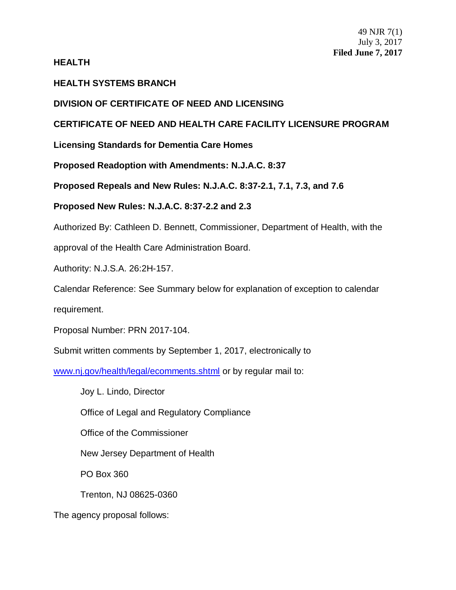## **HEALTH**

# **HEALTH SYSTEMS BRANCH**

# **DIVISION OF CERTIFICATE OF NEED AND LICENSING**

# **CERTIFICATE OF NEED AND HEALTH CARE FACILITY LICENSURE PROGRAM**

**Licensing Standards for Dementia Care Homes**

**Proposed Readoption with Amendments: N.J.A.C. 8:37**

**Proposed Repeals and New Rules: N.J.A.C. 8:37-2.1, 7.1, 7.3, and 7.6**

**Proposed New Rules: N.J.A.C. 8:37-2.2 and 2.3**

Authorized By: Cathleen D. Bennett, Commissioner, Department of Health, with the

approval of the Health Care Administration Board.

Authority: N.J.S.A. 26:2H-157.

Calendar Reference: See Summary below for explanation of exception to calendar

requirement.

Proposal Number: PRN 2017-104.

Submit written comments by September 1, 2017, electronically to

[www.nj.gov/health/legal/ecomments.shtml](http://www.nj.gov/health/legal/ecomments.shtml) or by regular mail to:

Joy L. Lindo, Director

Office of Legal and Regulatory Compliance

Office of the Commissioner

New Jersey Department of Health

PO Box 360

Trenton, NJ 08625-0360

The agency proposal follows: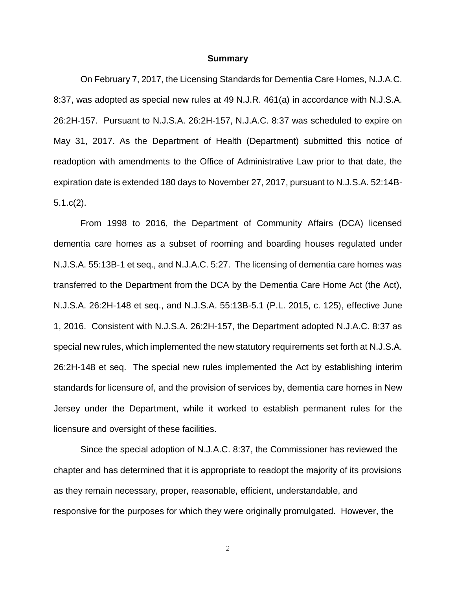#### **Summary**

On February 7, 2017, the Licensing Standards for Dementia Care Homes, N.J.A.C. 8:37, was adopted as special new rules at 49 N.J.R. 461(a) in accordance with N.J.S.A. 26:2H-157. Pursuant to N.J.S.A. 26:2H-157, N.J.A.C. 8:37 was scheduled to expire on May 31, 2017. As the Department of Health (Department) submitted this notice of readoption with amendments to the Office of Administrative Law prior to that date, the expiration date is extended 180 days to November 27, 2017, pursuant to N.J.S.A. 52:14B-5.1.c(2).

From 1998 to 2016, the Department of Community Affairs (DCA) licensed dementia care homes as a subset of rooming and boarding houses regulated under N.J.S.A. 55:13B-1 et seq., and N.J.A.C. 5:27. The licensing of dementia care homes was transferred to the Department from the DCA by the Dementia Care Home Act (the Act), N.J.S.A. 26:2H-148 et seq., and N.J.S.A. 55:13B-5.1 (P.L. 2015, c. 125), effective June 1, 2016. Consistent with N.J.S.A. 26:2H-157, the Department adopted N.J.A.C. 8:37 as special new rules, which implemented the new statutory requirements set forth at N.J.S.A. 26:2H-148 et seq. The special new rules implemented the Act by establishing interim standards for licensure of, and the provision of services by, dementia care homes in New Jersey under the Department, while it worked to establish permanent rules for the licensure and oversight of these facilities.

Since the special adoption of N.J.A.C. 8:37, the Commissioner has reviewed the chapter and has determined that it is appropriate to readopt the majority of its provisions as they remain necessary, proper, reasonable, efficient, understandable, and responsive for the purposes for which they were originally promulgated. However, the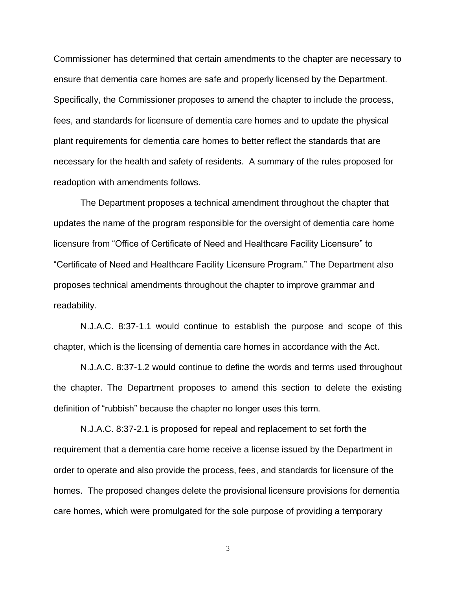Commissioner has determined that certain amendments to the chapter are necessary to ensure that dementia care homes are safe and properly licensed by the Department. Specifically, the Commissioner proposes to amend the chapter to include the process, fees, and standards for licensure of dementia care homes and to update the physical plant requirements for dementia care homes to better reflect the standards that are necessary for the health and safety of residents. A summary of the rules proposed for readoption with amendments follows.

The Department proposes a technical amendment throughout the chapter that updates the name of the program responsible for the oversight of dementia care home licensure from "Office of Certificate of Need and Healthcare Facility Licensure" to "Certificate of Need and Healthcare Facility Licensure Program." The Department also proposes technical amendments throughout the chapter to improve grammar and readability.

N.J.A.C. 8:37-1.1 would continue to establish the purpose and scope of this chapter, which is the licensing of dementia care homes in accordance with the Act.

N.J.A.C. 8:37-1.2 would continue to define the words and terms used throughout the chapter. The Department proposes to amend this section to delete the existing definition of "rubbish" because the chapter no longer uses this term.

N.J.A.C. 8:37-2.1 is proposed for repeal and replacement to set forth the requirement that a dementia care home receive a license issued by the Department in order to operate and also provide the process, fees, and standards for licensure of the homes. The proposed changes delete the provisional licensure provisions for dementia care homes, which were promulgated for the sole purpose of providing a temporary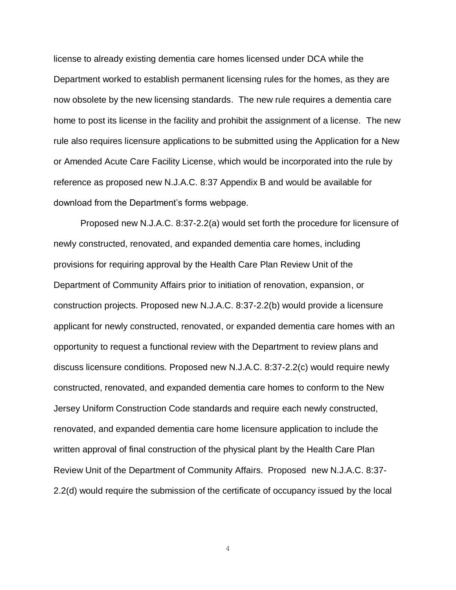license to already existing dementia care homes licensed under DCA while the Department worked to establish permanent licensing rules for the homes, as they are now obsolete by the new licensing standards. The new rule requires a dementia care home to post its license in the facility and prohibit the assignment of a license. The new rule also requires licensure applications to be submitted using the Application for a New or Amended Acute Care Facility License, which would be incorporated into the rule by reference as proposed new N.J.A.C. 8:37 Appendix B and would be available for download from the Department's forms webpage.

Proposed new N.J.A.C. 8:37-2.2(a) would set forth the procedure for licensure of newly constructed, renovated, and expanded dementia care homes, including provisions for requiring approval by the Health Care Plan Review Unit of the Department of Community Affairs prior to initiation of renovation, expansion, or construction projects. Proposed new N.J.A.C. 8:37-2.2(b) would provide a licensure applicant for newly constructed, renovated, or expanded dementia care homes with an opportunity to request a functional review with the Department to review plans and discuss licensure conditions. Proposed new N.J.A.C. 8:37-2.2(c) would require newly constructed, renovated, and expanded dementia care homes to conform to the New Jersey Uniform Construction Code standards and require each newly constructed, renovated, and expanded dementia care home licensure application to include the written approval of final construction of the physical plant by the Health Care Plan Review Unit of the Department of Community Affairs. Proposed new N.J.A.C. 8:37- 2.2(d) would require the submission of the certificate of occupancy issued by the local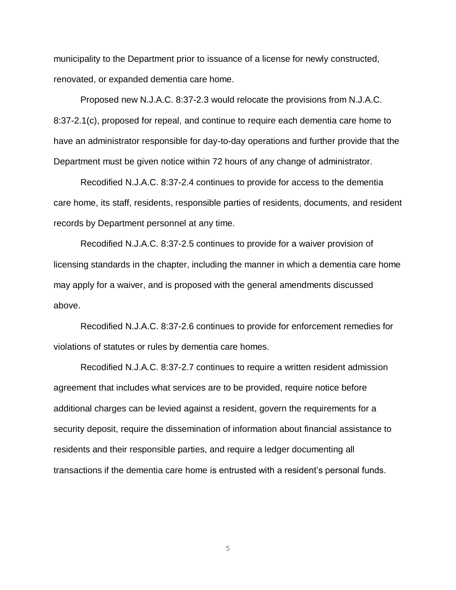municipality to the Department prior to issuance of a license for newly constructed, renovated, or expanded dementia care home.

Proposed new N.J.A.C. 8:37-2.3 would relocate the provisions from N.J.A.C. 8:37-2.1(c), proposed for repeal, and continue to require each dementia care home to have an administrator responsible for day-to-day operations and further provide that the Department must be given notice within 72 hours of any change of administrator.

Recodified N.J.A.C. 8:37-2.4 continues to provide for access to the dementia care home, its staff, residents, responsible parties of residents, documents, and resident records by Department personnel at any time.

Recodified N.J.A.C. 8:37-2.5 continues to provide for a waiver provision of licensing standards in the chapter, including the manner in which a dementia care home may apply for a waiver, and is proposed with the general amendments discussed above.

Recodified N.J.A.C. 8:37-2.6 continues to provide for enforcement remedies for violations of statutes or rules by dementia care homes.

Recodified N.J.A.C. 8:37-2.7 continues to require a written resident admission agreement that includes what services are to be provided, require notice before additional charges can be levied against a resident, govern the requirements for a security deposit, require the dissemination of information about financial assistance to residents and their responsible parties, and require a ledger documenting all transactions if the dementia care home is entrusted with a resident's personal funds.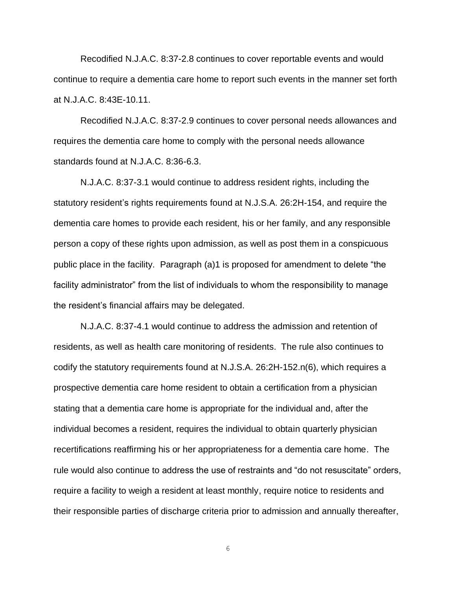Recodified N.J.A.C. 8:37-2.8 continues to cover reportable events and would continue to require a dementia care home to report such events in the manner set forth at N.J.A.C. 8:43E-10.11.

Recodified N.J.A.C. 8:37-2.9 continues to cover personal needs allowances and requires the dementia care home to comply with the personal needs allowance standards found at N.J.A.C. 8:36-6.3.

N.J.A.C. 8:37-3.1 would continue to address resident rights, including the statutory resident's rights requirements found at N.J.S.A. 26:2H-154, and require the dementia care homes to provide each resident, his or her family, and any responsible person a copy of these rights upon admission, as well as post them in a conspicuous public place in the facility. Paragraph (a)1 is proposed for amendment to delete "the facility administrator" from the list of individuals to whom the responsibility to manage the resident's financial affairs may be delegated.

N.J.A.C. 8:37-4.1 would continue to address the admission and retention of residents, as well as health care monitoring of residents. The rule also continues to codify the statutory requirements found at N.J.S.A. 26:2H-152.n(6), which requires a prospective dementia care home resident to obtain a certification from a physician stating that a dementia care home is appropriate for the individual and, after the individual becomes a resident, requires the individual to obtain quarterly physician recertifications reaffirming his or her appropriateness for a dementia care home. The rule would also continue to address the use of restraints and "do not resuscitate" orders, require a facility to weigh a resident at least monthly, require notice to residents and their responsible parties of discharge criteria prior to admission and annually thereafter,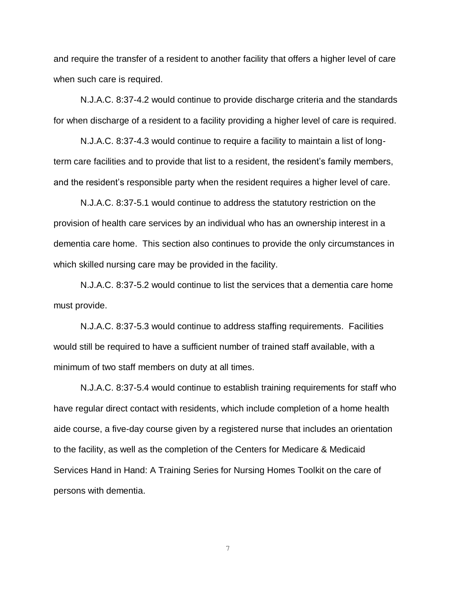and require the transfer of a resident to another facility that offers a higher level of care when such care is required.

N.J.A.C. 8:37-4.2 would continue to provide discharge criteria and the standards for when discharge of a resident to a facility providing a higher level of care is required.

N.J.A.C. 8:37-4.3 would continue to require a facility to maintain a list of longterm care facilities and to provide that list to a resident, the resident's family members, and the resident's responsible party when the resident requires a higher level of care.

N.J.A.C. 8:37-5.1 would continue to address the statutory restriction on the provision of health care services by an individual who has an ownership interest in a dementia care home. This section also continues to provide the only circumstances in which skilled nursing care may be provided in the facility.

N.J.A.C. 8:37-5.2 would continue to list the services that a dementia care home must provide.

N.J.A.C. 8:37-5.3 would continue to address staffing requirements. Facilities would still be required to have a sufficient number of trained staff available, with a minimum of two staff members on duty at all times.

N.J.A.C. 8:37-5.4 would continue to establish training requirements for staff who have regular direct contact with residents, which include completion of a home health aide course, a five-day course given by a registered nurse that includes an orientation to the facility, as well as the completion of the Centers for Medicare & Medicaid Services Hand in Hand: A Training Series for Nursing Homes Toolkit on the care of persons with dementia.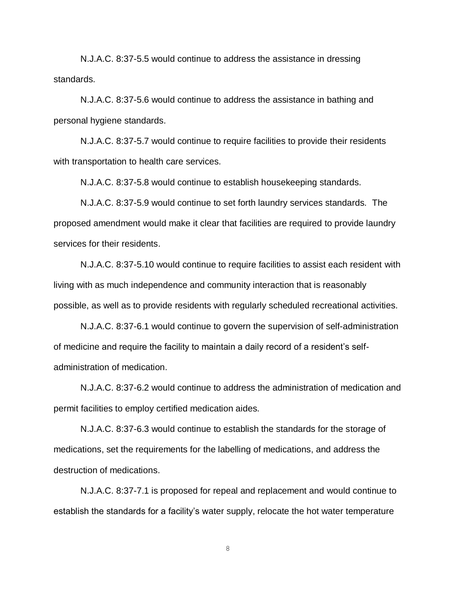N.J.A.C. 8:37-5.5 would continue to address the assistance in dressing standards.

N.J.A.C. 8:37-5.6 would continue to address the assistance in bathing and personal hygiene standards.

N.J.A.C. 8:37-5.7 would continue to require facilities to provide their residents with transportation to health care services.

N.J.A.C. 8:37-5.8 would continue to establish housekeeping standards.

N.J.A.C. 8:37-5.9 would continue to set forth laundry services standards. The proposed amendment would make it clear that facilities are required to provide laundry services for their residents.

N.J.A.C. 8:37-5.10 would continue to require facilities to assist each resident with living with as much independence and community interaction that is reasonably possible, as well as to provide residents with regularly scheduled recreational activities.

N.J.A.C. 8:37-6.1 would continue to govern the supervision of self-administration of medicine and require the facility to maintain a daily record of a resident's selfadministration of medication.

N.J.A.C. 8:37-6.2 would continue to address the administration of medication and permit facilities to employ certified medication aides.

N.J.A.C. 8:37-6.3 would continue to establish the standards for the storage of medications, set the requirements for the labelling of medications, and address the destruction of medications.

N.J.A.C. 8:37-7.1 is proposed for repeal and replacement and would continue to establish the standards for a facility's water supply, relocate the hot water temperature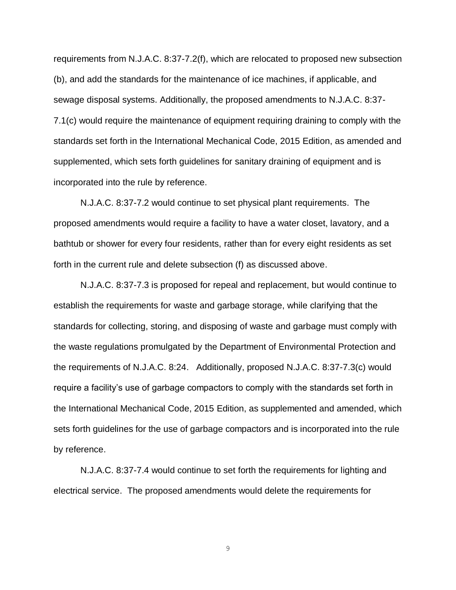requirements from N.J.A.C. 8:37-7.2(f), which are relocated to proposed new subsection (b), and add the standards for the maintenance of ice machines, if applicable, and sewage disposal systems. Additionally, the proposed amendments to N.J.A.C. 8:37- 7.1(c) would require the maintenance of equipment requiring draining to comply with the standards set forth in the International Mechanical Code, 2015 Edition, as amended and supplemented, which sets forth guidelines for sanitary draining of equipment and is incorporated into the rule by reference.

N.J.A.C. 8:37-7.2 would continue to set physical plant requirements. The proposed amendments would require a facility to have a water closet, lavatory, and a bathtub or shower for every four residents, rather than for every eight residents as set forth in the current rule and delete subsection (f) as discussed above.

N.J.A.C. 8:37-7.3 is proposed for repeal and replacement, but would continue to establish the requirements for waste and garbage storage, while clarifying that the standards for collecting, storing, and disposing of waste and garbage must comply with the waste regulations promulgated by the Department of Environmental Protection and the requirements of N.J.A.C. 8:24. Additionally, proposed N.J.A.C. 8:37-7.3(c) would require a facility's use of garbage compactors to comply with the standards set forth in the International Mechanical Code, 2015 Edition, as supplemented and amended, which sets forth guidelines for the use of garbage compactors and is incorporated into the rule by reference.

N.J.A.C. 8:37-7.4 would continue to set forth the requirements for lighting and electrical service. The proposed amendments would delete the requirements for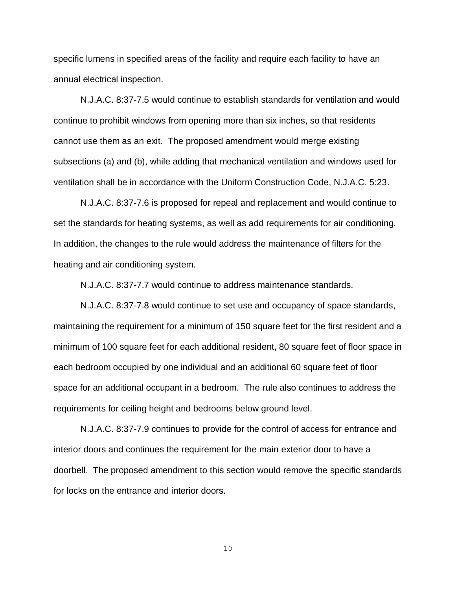specific lumens in specified areas of the facility and require each facility to have an annual electrical inspection.

N.J.A.C. 8:37-7.5 would continue to establish standards for ventilation and would continue to prohibit windows from opening more than six inches, so that residents cannot use them as an exit. The proposed amendment would merge existing subsections (a) and (b), while adding that mechanical ventilation and windows used for ventilation shall be in accordance with the Uniform Construction Code, N.J.A.C. 5:23.

N.J.A.C. 8:37-7.6 is proposed for repeal and replacement and would continue to set the standards for heating systems, as well as add requirements for air conditioning. In addition, the changes to the rule would address the maintenance of filters for the heating and air conditioning system.

N.J.A.C. 8:37-7.7 would continue to address maintenance standards.

N.J.A.C. 8:37-7.8 would continue to set use and occupancy of space standards, maintaining the requirement for a minimum of 150 square feet for the first resident and a minimum of 100 square feet for each additional resident, 80 square feet of floor space in each bedroom occupied by one individual and an additional 60 square feet of floor space for an additional occupant in a bedroom. The rule also continues to address the requirements for ceiling height and bedrooms below ground level.

N.J.A.C. 8:37-7.9 continues to provide for the control of access for entrance and interior doors and continues the requirement for the main exterior door to have a doorbell. The proposed amendment to this section would remove the specific standards for locks on the entrance and interior doors.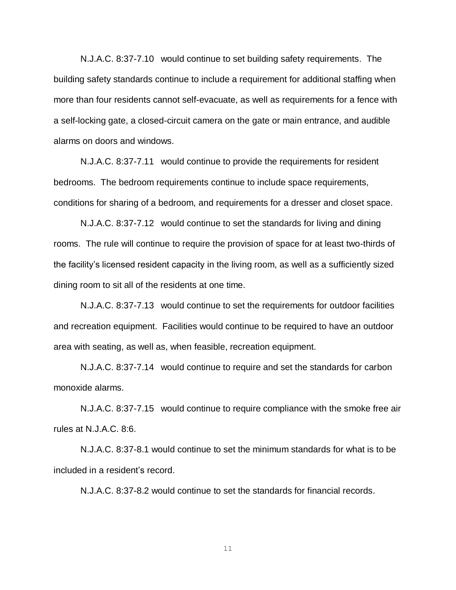N.J.A.C. 8:37-7.10 would continue to set building safety requirements. The building safety standards continue to include a requirement for additional staffing when more than four residents cannot self-evacuate, as well as requirements for a fence with a self-locking gate, a closed-circuit camera on the gate or main entrance, and audible alarms on doors and windows.

N.J.A.C. 8:37-7.11 would continue to provide the requirements for resident bedrooms. The bedroom requirements continue to include space requirements, conditions for sharing of a bedroom, and requirements for a dresser and closet space.

N.J.A.C. 8:37-7.12 would continue to set the standards for living and dining rooms. The rule will continue to require the provision of space for at least two-thirds of the facility's licensed resident capacity in the living room, as well as a sufficiently sized dining room to sit all of the residents at one time.

N.J.A.C. 8:37-7.13 would continue to set the requirements for outdoor facilities and recreation equipment. Facilities would continue to be required to have an outdoor area with seating, as well as, when feasible, recreation equipment.

N.J.A.C. 8:37-7.14 would continue to require and set the standards for carbon monoxide alarms.

N.J.A.C. 8:37-7.15 would continue to require compliance with the smoke free air rules at N.J.A.C. 8:6.

N.J.A.C. 8:37-8.1 would continue to set the minimum standards for what is to be included in a resident's record.

N.J.A.C. 8:37-8.2 would continue to set the standards for financial records.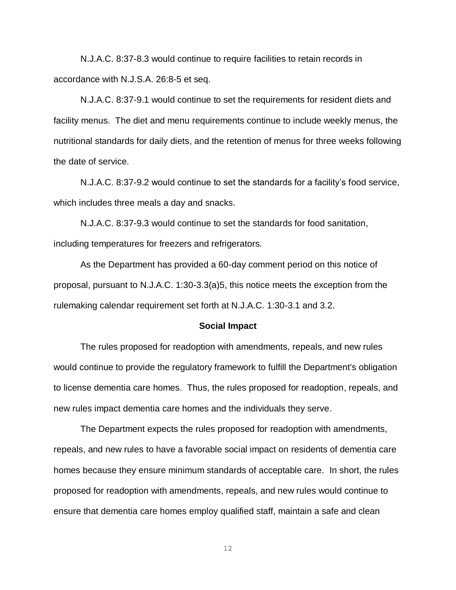N.J.A.C. 8:37-8.3 would continue to require facilities to retain records in accordance with N.J.S.A. 26:8-5 et seq.

N.J.A.C. 8:37-9.1 would continue to set the requirements for resident diets and facility menus. The diet and menu requirements continue to include weekly menus, the nutritional standards for daily diets, and the retention of menus for three weeks following the date of service.

N.J.A.C. 8:37-9.2 would continue to set the standards for a facility's food service, which includes three meals a day and snacks.

N.J.A.C. 8:37-9.3 would continue to set the standards for food sanitation, including temperatures for freezers and refrigerators.

As the Department has provided a 60-day comment period on this notice of proposal, pursuant to N.J.A.C. 1:30-3.3(a)5, this notice meets the exception from the rulemaking calendar requirement set forth at N.J.A.C. 1:30-3.1 and 3.2.

#### **Social Impact**

The rules proposed for readoption with amendments, repeals, and new rules would continue to provide the regulatory framework to fulfill the Department's obligation to license dementia care homes. Thus, the rules proposed for readoption, repeals, and new rules impact dementia care homes and the individuals they serve.

The Department expects the rules proposed for readoption with amendments, repeals, and new rules to have a favorable social impact on residents of dementia care homes because they ensure minimum standards of acceptable care. In short, the rules proposed for readoption with amendments, repeals, and new rules would continue to ensure that dementia care homes employ qualified staff, maintain a safe and clean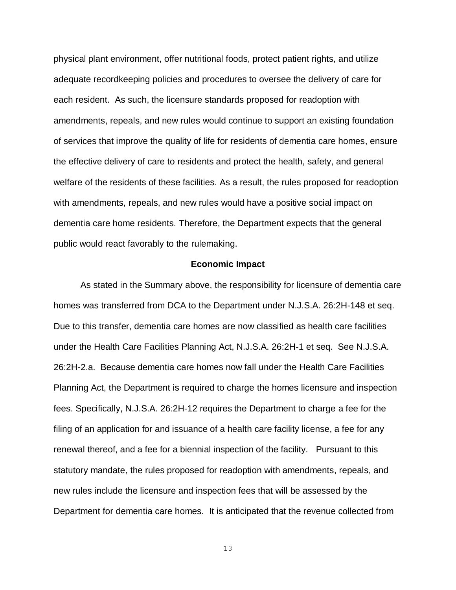physical plant environment, offer nutritional foods, protect patient rights, and utilize adequate recordkeeping policies and procedures to oversee the delivery of care for each resident. As such, the licensure standards proposed for readoption with amendments, repeals, and new rules would continue to support an existing foundation of services that improve the quality of life for residents of dementia care homes, ensure the effective delivery of care to residents and protect the health, safety, and general welfare of the residents of these facilities. As a result, the rules proposed for readoption with amendments, repeals, and new rules would have a positive social impact on dementia care home residents. Therefore, the Department expects that the general public would react favorably to the rulemaking.

### **Economic Impact**

As stated in the Summary above, the responsibility for licensure of dementia care homes was transferred from DCA to the Department under N.J.S.A. 26:2H-148 et seq. Due to this transfer, dementia care homes are now classified as health care facilities under the Health Care Facilities Planning Act, N.J.S.A. 26:2H-1 et seq. See N.J.S.A. 26:2H-2.a. Because dementia care homes now fall under the Health Care Facilities Planning Act, the Department is required to charge the homes licensure and inspection fees. Specifically, N.J.S.A. 26:2H-12 requires the Department to charge a fee for the filing of an application for and issuance of a health care facility license, a fee for any renewal thereof, and a fee for a biennial inspection of the facility. Pursuant to this statutory mandate, the rules proposed for readoption with amendments, repeals, and new rules include the licensure and inspection fees that will be assessed by the Department for dementia care homes. It is anticipated that the revenue collected from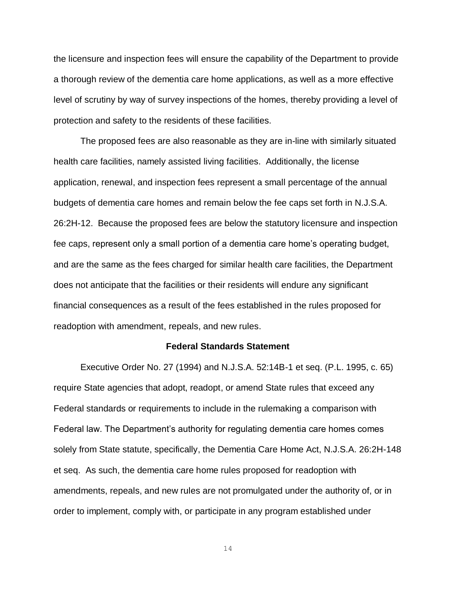the licensure and inspection fees will ensure the capability of the Department to provide a thorough review of the dementia care home applications, as well as a more effective level of scrutiny by way of survey inspections of the homes, thereby providing a level of protection and safety to the residents of these facilities.

The proposed fees are also reasonable as they are in-line with similarly situated health care facilities, namely assisted living facilities. Additionally, the license application, renewal, and inspection fees represent a small percentage of the annual budgets of dementia care homes and remain below the fee caps set forth in N.J.S.A. 26:2H-12. Because the proposed fees are below the statutory licensure and inspection fee caps, represent only a small portion of a dementia care home's operating budget, and are the same as the fees charged for similar health care facilities, the Department does not anticipate that the facilities or their residents will endure any significant financial consequences as a result of the fees established in the rules proposed for readoption with amendment, repeals, and new rules.

#### **Federal Standards Statement**

Executive Order No. 27 (1994) and N.J.S.A. 52:14B-1 et seq. (P.L. 1995, c. 65) require State agencies that adopt, readopt, or amend State rules that exceed any Federal standards or requirements to include in the rulemaking a comparison with Federal law. The Department's authority for regulating dementia care homes comes solely from State statute, specifically, the Dementia Care Home Act, N.J.S.A. 26:2H-148 et seq. As such, the dementia care home rules proposed for readoption with amendments, repeals, and new rules are not promulgated under the authority of, or in order to implement, comply with, or participate in any program established under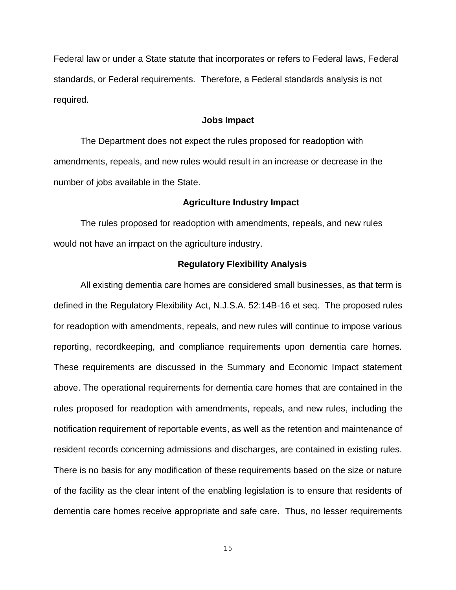Federal law or under a State statute that incorporates or refers to Federal laws, Federal standards, or Federal requirements. Therefore, a Federal standards analysis is not required.

### **Jobs Impact**

The Department does not expect the rules proposed for readoption with amendments, repeals, and new rules would result in an increase or decrease in the number of jobs available in the State.

### **Agriculture Industry Impact**

The rules proposed for readoption with amendments, repeals, and new rules would not have an impact on the agriculture industry.

### **Regulatory Flexibility Analysis**

All existing dementia care homes are considered small businesses, as that term is defined in the Regulatory Flexibility Act, N.J.S.A. 52:14B-16 et seq. The proposed rules for readoption with amendments, repeals, and new rules will continue to impose various reporting, recordkeeping, and compliance requirements upon dementia care homes. These requirements are discussed in the Summary and Economic Impact statement above. The operational requirements for dementia care homes that are contained in the rules proposed for readoption with amendments, repeals, and new rules, including the notification requirement of reportable events, as well as the retention and maintenance of resident records concerning admissions and discharges, are contained in existing rules. There is no basis for any modification of these requirements based on the size or nature of the facility as the clear intent of the enabling legislation is to ensure that residents of dementia care homes receive appropriate and safe care. Thus, no lesser requirements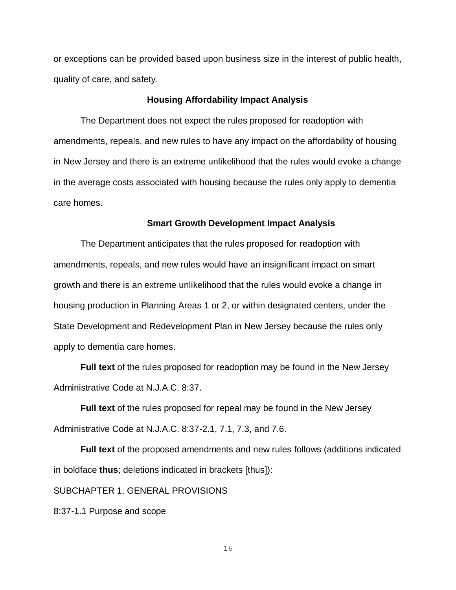or exceptions can be provided based upon business size in the interest of public health, quality of care, and safety.

### **Housing Affordability Impact Analysis**

The Department does not expect the rules proposed for readoption with amendments, repeals, and new rules to have any impact on the affordability of housing in New Jersey and there is an extreme unlikelihood that the rules would evoke a change in the average costs associated with housing because the rules only apply to dementia care homes.

#### **Smart Growth Development Impact Analysis**

The Department anticipates that the rules proposed for readoption with amendments, repeals, and new rules would have an insignificant impact on smart growth and there is an extreme unlikelihood that the rules would evoke a change in housing production in Planning Areas 1 or 2, or within designated centers, under the State Development and Redevelopment Plan in New Jersey because the rules only apply to dementia care homes.

**Full text** of the rules proposed for readoption may be found in the New Jersey Administrative Code at N.J.A.C. 8:37.

**Full text** of the rules proposed for repeal may be found in the New Jersey Administrative Code at N.J.A.C. 8:37-2.1, 7.1, 7.3, and 7.6.

**Full text** of the proposed amendments and new rules follows (additions indicated in boldface **thus**; deletions indicated in brackets [thus]):

SUBCHAPTER 1. GENERAL PROVISIONS

8:37-1.1 Purpose and scope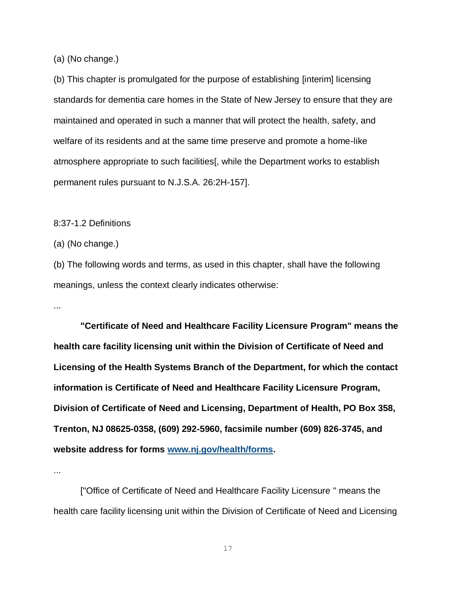(a) (No change.)

(b) This chapter is promulgated for the purpose of establishing [interim] licensing standards for dementia care homes in the State of New Jersey to ensure that they are maintained and operated in such a manner that will protect the health, safety, and welfare of its residents and at the same time preserve and promote a home-like atmosphere appropriate to such facilities[, while the Department works to establish permanent rules pursuant to N.J.S.A. 26:2H-157].

8:37-1.2 Definitions

(a) (No change.)

(b) The following words and terms, as used in this chapter, shall have the following meanings, unless the context clearly indicates otherwise:

...

**"Certificate of Need and Healthcare Facility Licensure Program" means the health care facility licensing unit within the Division of Certificate of Need and Licensing of the Health Systems Branch of the Department, for which the contact information is Certificate of Need and Healthcare Facility Licensure Program, Division of Certificate of Need and Licensing, Department of Health, PO Box 358, Trenton, NJ 08625-0358, (609) 292-5960, facsimile number (609) 826-3745, and website address for forms [www.nj.gov/health/forms.](http://www.nj.gov/health/forms)**

...

["Office of Certificate of Need and Healthcare Facility Licensure " means the health care facility licensing unit within the Division of Certificate of Need and Licensing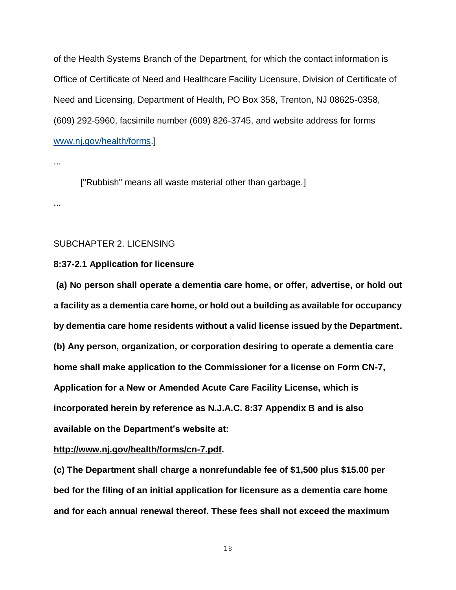of the Health Systems Branch of the Department, for which the contact information is Office of Certificate of Need and Healthcare Facility Licensure, Division of Certificate of Need and Licensing, Department of Health, PO Box 358, Trenton, NJ 08625-0358, (609) 292-5960, facsimile number (609) 826-3745, and website address for forms [www.nj.gov/health/forms.](http://www.nj.gov/health/forms)]

...

["Rubbish" means all waste material other than garbage.]

...

## SUBCHAPTER 2. LICENSING

## **8:37-2.1 Application for licensure**

**(a) No person shall operate a dementia care home, or offer, advertise, or hold out a facility as a dementia care home, or hold out a building as available for occupancy by dementia care home residents without a valid license issued by the Department. (b) Any person, organization, or corporation desiring to operate a dementia care home shall make application to the Commissioner for a license on Form CN-7, Application for a New or Amended Acute Care Facility License, which is incorporated herein by reference as N.J.A.C. 8:37 Appendix B and is also available on the Department's website at:**

**http://www.nj.gov/health/forms/cn-7.pdf.**

**(c) The Department shall charge a nonrefundable fee of \$1,500 plus \$15.00 per bed for the filing of an initial application for licensure as a dementia care home and for each annual renewal thereof. These fees shall not exceed the maximum**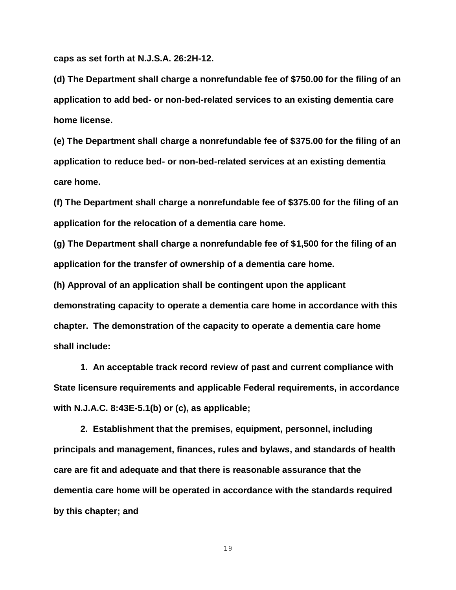**caps as set forth at N.J.S.A. 26:2H-12.**

**(d) The Department shall charge a nonrefundable fee of \$750.00 for the filing of an application to add bed- or non-bed-related services to an existing dementia care home license.**

**(e) The Department shall charge a nonrefundable fee of \$375.00 for the filing of an application to reduce bed- or non-bed-related services at an existing dementia care home.**

**(f) The Department shall charge a nonrefundable fee of \$375.00 for the filing of an application for the relocation of a dementia care home.**

**(g) The Department shall charge a nonrefundable fee of \$1,500 for the filing of an application for the transfer of ownership of a dementia care home.**

**(h) Approval of an application shall be contingent upon the applicant demonstrating capacity to operate a dementia care home in accordance with this chapter. The demonstration of the capacity to operate a dementia care home shall include:**

**1. An acceptable track record review of past and current compliance with State licensure requirements and applicable Federal requirements, in accordance with N.J.A.C. 8:43E-5.1(b) or (c), as applicable;**

**2. Establishment that the premises, equipment, personnel, including principals and management, finances, rules and bylaws, and standards of health care are fit and adequate and that there is reasonable assurance that the dementia care home will be operated in accordance with the standards required by this chapter; and**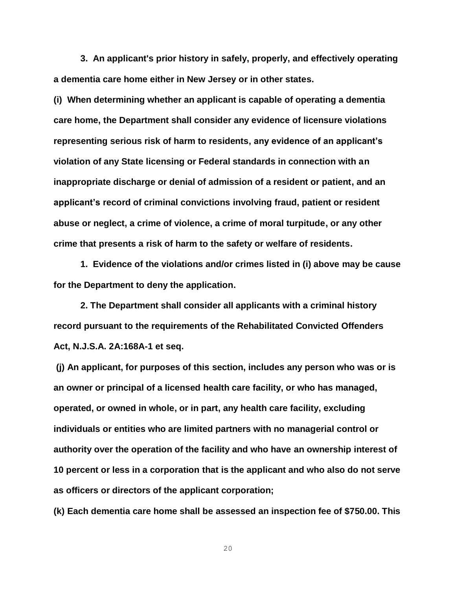**3. An applicant's prior history in safely, properly, and effectively operating a dementia care home either in New Jersey or in other states.**

**(i) When determining whether an applicant is capable of operating a dementia care home, the Department shall consider any evidence of licensure violations representing serious risk of harm to residents, any evidence of an applicant's violation of any State licensing or Federal standards in connection with an inappropriate discharge or denial of admission of a resident or patient, and an applicant's record of criminal convictions involving fraud, patient or resident abuse or neglect, a crime of violence, a crime of moral turpitude, or any other crime that presents a risk of harm to the safety or welfare of residents.**

**1. Evidence of the violations and/or crimes listed in (i) above may be cause for the Department to deny the application.**

**2. The Department shall consider all applicants with a criminal history record pursuant to the requirements of the Rehabilitated Convicted Offenders Act, N.J.S.A. 2A:168A-1 et seq.**

**(j) An applicant, for purposes of this section, includes any person who was or is an owner or principal of a licensed health care facility, or who has managed, operated, or owned in whole, or in part, any health care facility, excluding individuals or entities who are limited partners with no managerial control or authority over the operation of the facility and who have an ownership interest of 10 percent or less in a corporation that is the applicant and who also do not serve as officers or directors of the applicant corporation;**

**(k) Each dementia care home shall be assessed an inspection fee of \$750.00. This**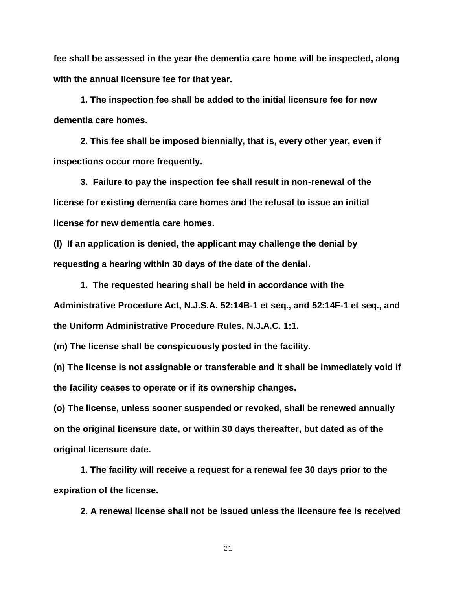**fee shall be assessed in the year the dementia care home will be inspected, along with the annual licensure fee for that year.**

**1. The inspection fee shall be added to the initial licensure fee for new dementia care homes.**

**2. This fee shall be imposed biennially, that is, every other year, even if inspections occur more frequently.** 

**3. Failure to pay the inspection fee shall result in non-renewal of the license for existing dementia care homes and the refusal to issue an initial license for new dementia care homes.**

**(l) If an application is denied, the applicant may challenge the denial by requesting a hearing within 30 days of the date of the denial.**

**1. The requested hearing shall be held in accordance with the Administrative Procedure Act, [N.J.S.A. 52:14B-1](http://www.lexis.com/research/buttonTFLink?_m=572406b0e77d1e77ecbd24a087e446c6&_xfercite=%3ccite%20cc%3d%22USA%22%3e%3c%21%5bCDATA%5bN.J.A.C.%208%3a33-4.10%5d%5d%3e%3c%2fcite%3e&_butType=4&_butStat=0&_butNum=2&_butInline=1&_butinfo=NJCODE%2052%3a14B-1&_fmtstr=FULL&docnum=1&_startdoc=1&wchp=dGLbVzk-zSkAW&_md5=0895cd399506dbcb74b29268551ed6ee) et seq., and [52:14F-1](http://www.lexis.com/research/buttonTFLink?_m=572406b0e77d1e77ecbd24a087e446c6&_xfercite=%3ccite%20cc%3d%22USA%22%3e%3c%21%5bCDATA%5bN.J.A.C.%208%3a33-4.10%5d%5d%3e%3c%2fcite%3e&_butType=4&_butStat=0&_butNum=3&_butInline=1&_butinfo=NJCODE%2052%3a14F-1&_fmtstr=FULL&docnum=1&_startdoc=1&wchp=dGLbVzk-zSkAW&_md5=e2904b1f55a3c72ee5813a5ff53b8d04) et seq., and the Uniform Administrative Procedure Rules, [N.J.A.C. 1:1.](http://www.lexis.com/research/buttonTFLink?_m=572406b0e77d1e77ecbd24a087e446c6&_xfercite=%3ccite%20cc%3d%22USA%22%3e%3c%21%5bCDATA%5bN.J.A.C.%208%3a33-4.10%5d%5d%3e%3c%2fcite%3e&_butType=4&_butStat=0&_butNum=4&_butInline=1&_butinfo=NJ%20ADMIN%201%3a1&_fmtstr=FULL&docnum=1&_startdoc=1&wchp=dGLbVzk-zSkAW&_md5=6ea40ddca6090bc932f517b7c28b0363)**

**(m) The license shall be conspicuously posted in the facility.**

**(n) The license is not assignable or transferable and it shall be immediately void if the facility ceases to operate or if its ownership changes.**

**(o) The license, unless sooner suspended or revoked, shall be renewed annually on the original licensure date, or within 30 days thereafter, but dated as of the original licensure date.** 

**1. The facility will receive a request for a renewal fee 30 days prior to the expiration of the license.** 

**2. A renewal license shall not be issued unless the licensure fee is received**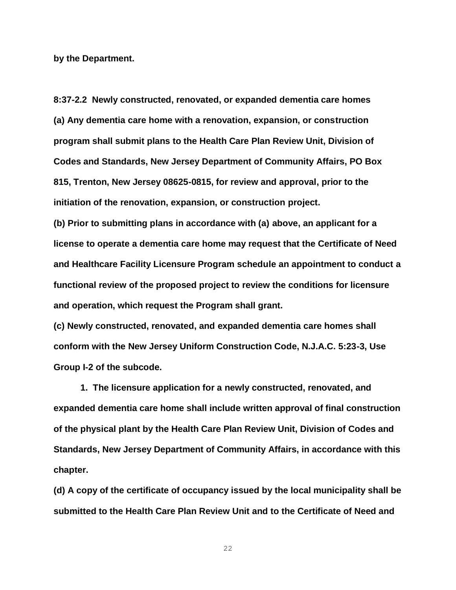**by the Department.**

**8:37-2.2 Newly constructed, renovated, or expanded dementia care homes (a) Any dementia care home with a renovation, expansion, or construction program shall submit plans to the Health Care Plan Review Unit, Division of Codes and Standards, New Jersey Department of Community Affairs, PO Box 815, Trenton, New Jersey 08625-0815, for review and approval, prior to the initiation of the renovation, expansion, or construction project.**

**(b) Prior to submitting plans in accordance with (a) above, an applicant for a license to operate a dementia care home may request that the Certificate of Need and Healthcare Facility Licensure Program schedule an appointment to conduct a functional review of the proposed project to review the conditions for licensure and operation, which request the Program shall grant.**

**(c) Newly constructed, renovated, and expanded dementia care homes shall conform with the New Jersey Uniform Construction Code, N.J.A.C. 5:23-3, Use Group I-2 of the subcode.**

**1. The licensure application for a newly constructed, renovated, and expanded dementia care home shall include written approval of final construction of the physical plant by the Health Care Plan Review Unit, Division of Codes and Standards, New Jersey Department of Community Affairs, in accordance with this chapter.**

**(d) A copy of the certificate of occupancy issued by the local municipality shall be submitted to the Health Care Plan Review Unit and to the Certificate of Need and**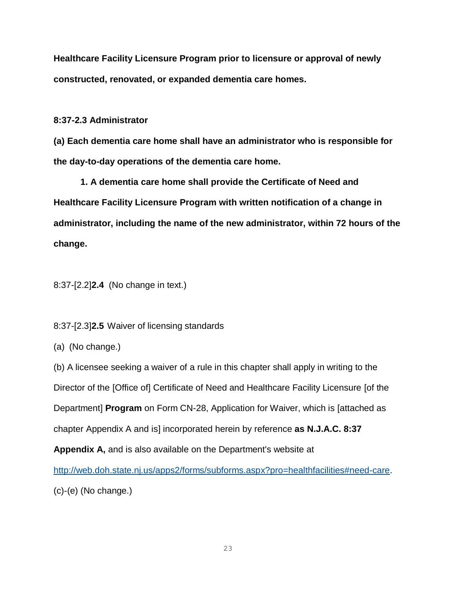**Healthcare Facility Licensure Program prior to licensure or approval of newly constructed, renovated, or expanded dementia care homes.** 

**8:37-2.3 Administrator**

**(a) Each dementia care home shall have an administrator who is responsible for the day-to-day operations of the dementia care home.** 

**1. A dementia care home shall provide the Certificate of Need and Healthcare Facility Licensure Program with written notification of a change in administrator, including the name of the new administrator, within 72 hours of the change.**

8:37-[2.2]**2.4** (No change in text.)

8:37-[2.3]**2.5** Waiver of licensing standards

(a) (No change.)

(b) A licensee seeking a waiver of a rule in this chapter shall apply in writing to the Director of the [Office of] Certificate of Need and Healthcare Facility Licensure [of the Department] **Program** on Form CN-28, Application for Waiver, which is [attached as chapter Appendix A and is] incorporated herein by reference **as N.J.A.C. 8:37** 

**Appendix A,** and is also available on the Department's website at

[http://web.doh.state.nj.us/apps2/forms/subforms.aspx?pro=healthfacilities#need-care.](http://web.doh.state.nj.us/apps2/forms/subforms.aspx?pro=healthfacilities#need-care) (c)-(e) (No change.)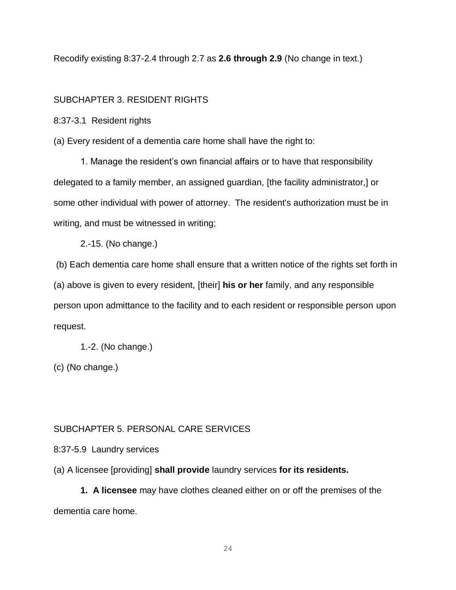Recodify existing 8:37-2.4 through 2.7 as **2.6 through 2.9** (No change in text.)

# SUBCHAPTER 3. RESIDENT RIGHTS

8:37-3.1 Resident rights

(a) Every resident of a dementia care home shall have the right to:

1. Manage the resident's own financial affairs or to have that responsibility delegated to a family member, an assigned guardian, [the facility administrator,] or some other individual with power of attorney. The resident's authorization must be in writing, and must be witnessed in writing;

2.-15. (No change.)

(b) Each dementia care home shall ensure that a written notice of the rights set forth in (a) above is given to every resident, [their] **his or her** family, and any responsible person upon admittance to the facility and to each resident or responsible person upon request.

1.-2. (No change.)

(c) (No change.)

# SUBCHAPTER 5. PERSONAL CARE SERVICES

8:37-5.9 Laundry services

(a) A licensee [providing] **shall provide** laundry services **for its residents.**

**1. A licensee** may have clothes cleaned either on or off the premises of the dementia care home.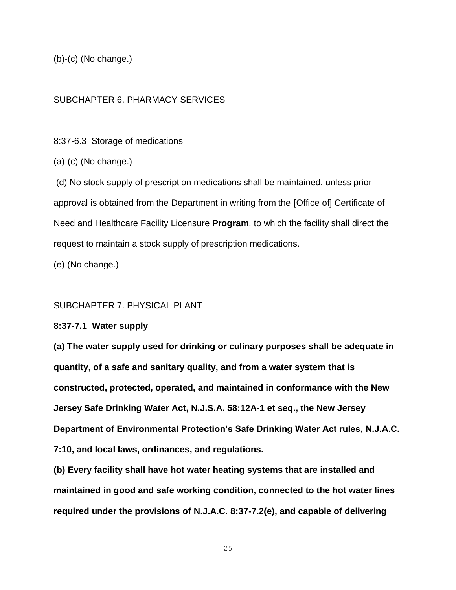(b)-(c) (No change.)

# SUBCHAPTER 6. PHARMACY SERVICES

8:37-6.3 Storage of medications

 $(a)-(c)$  (No change.)

(d) No stock supply of prescription medications shall be maintained, unless prior approval is obtained from the Department in writing from the [Office of] Certificate of Need and Healthcare Facility Licensure **Program**, to which the facility shall direct the request to maintain a stock supply of prescription medications.

(e) (No change.)

## SUBCHAPTER 7. PHYSICAL PLANT

### **8:37-7.1 Water supply**

**(a) The water supply used for drinking or culinary purposes shall be adequate in quantity, of a safe and sanitary quality, and from a water system that is constructed, protected, operated, and maintained in conformance with the New Jersey Safe Drinking Water Act, N.J.S.A. 58:12A-1 et seq., the New Jersey Department of Environmental Protection's Safe Drinking Water Act rules, N.J.A.C. 7:10, and local laws, ordinances, and regulations.**

**(b) Every facility shall have hot water heating systems that are installed and maintained in good and safe working condition, connected to the hot water lines required under the provisions of N.J.A.C. 8:37-7.2(e), and capable of delivering**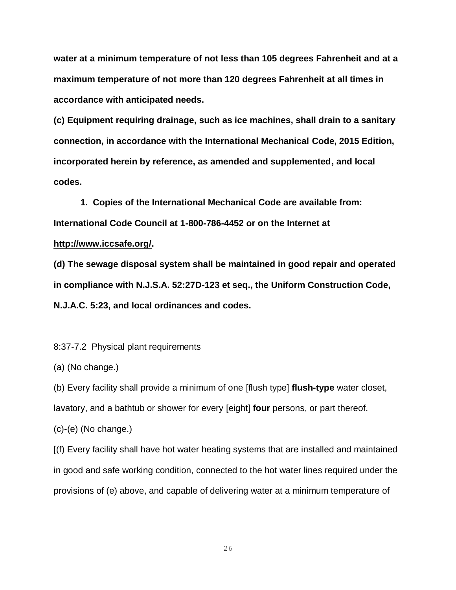**water at a minimum temperature of not less than 105 degrees Fahrenheit and at a maximum temperature of not more than 120 degrees Fahrenheit at all times in accordance with anticipated needs.**

**(c) Equipment requiring drainage, such as ice machines, shall drain to a sanitary connection, in accordance with the International Mechanical Code, 2015 Edition, incorporated herein by reference, as amended and supplemented, and local codes.** 

**1. Copies of the International Mechanical Code are available from: International Code Council at 1-800-786-4452 or on the Internet at** 

## **http://www.iccsafe.org/.**

**(d) The sewage disposal system shall be maintained in good repair and operated in compliance with N.J.S.A. 52:27D-123 et seq., the Uniform Construction Code, N.J.A.C. 5:23, and local ordinances and codes.**

8:37-7.2 Physical plant requirements

(a) (No change.)

(b) Every facility shall provide a minimum of one [flush type] **flush-type** water closet,

lavatory, and a bathtub or shower for every [eight] **four** persons, or part thereof.

(c)-(e) (No change.)

[(f) Every facility shall have hot water heating systems that are installed and maintained in good and safe working condition, connected to the hot water lines required under the provisions of (e) above, and capable of delivering water at a minimum temperature of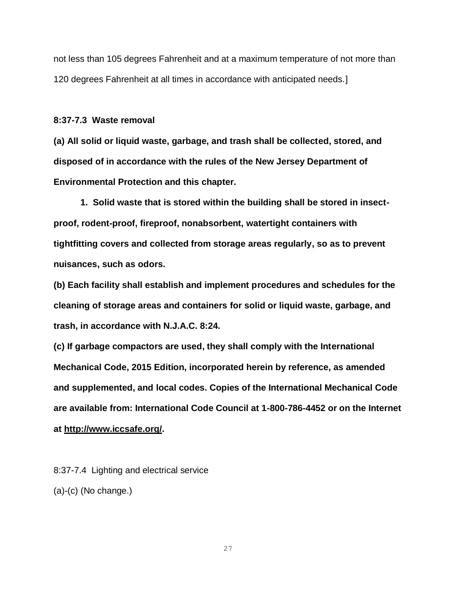not less than 105 degrees Fahrenheit and at a maximum temperature of not more than 120 degrees Fahrenheit at all times in accordance with anticipated needs.]

#### **8:37-7.3 Waste removal**

**(a) All solid or liquid waste, garbage, and trash shall be collected, stored, and disposed of in accordance with the rules of the New Jersey Department of Environmental Protection and this chapter.** 

**1. Solid waste that is stored within the building shall be stored in insectproof, rodent-proof, fireproof, nonabsorbent, watertight containers with tightfitting covers and collected from storage areas regularly, so as to prevent nuisances, such as odors.** 

**(b) Each facility shall establish and implement procedures and schedules for the cleaning of storage areas and containers for solid or liquid waste, garbage, and trash, in accordance with N.J.A.C. 8:24.**

**(c) If garbage compactors are used, they shall comply with the International Mechanical Code, 2015 Edition, incorporated herein by reference, as amended and supplemented, and local codes. Copies of the International Mechanical Code are available from: International Code Council at 1-800-786-4452 or on the Internet at http://www.iccsafe.org/.** 

8:37-7.4 Lighting and electrical service (a)-(c) (No change.)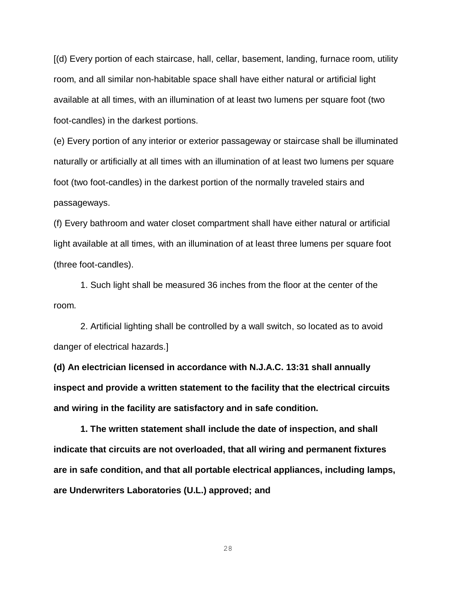[(d) Every portion of each staircase, hall, cellar, basement, landing, furnace room, utility room, and all similar non-habitable space shall have either natural or artificial light available at all times, with an illumination of at least two lumens per square foot (two foot-candles) in the darkest portions.

(e) Every portion of any interior or exterior passageway or staircase shall be illuminated naturally or artificially at all times with an illumination of at least two lumens per square foot (two foot-candles) in the darkest portion of the normally traveled stairs and passageways.

(f) Every bathroom and water closet compartment shall have either natural or artificial light available at all times, with an illumination of at least three lumens per square foot (three foot-candles).

1. Such light shall be measured 36 inches from the floor at the center of the room.

2. Artificial lighting shall be controlled by a wall switch, so located as to avoid danger of electrical hazards.]

**(d) An electrician licensed in accordance with N.J.A.C. 13:31 shall annually inspect and provide a written statement to the facility that the electrical circuits and wiring in the facility are satisfactory and in safe condition.**

**1. The written statement shall include the date of inspection, and shall indicate that circuits are not overloaded, that all wiring and permanent fixtures are in safe condition, and that all portable electrical appliances, including lamps, are Underwriters Laboratories (U.L.) approved; and**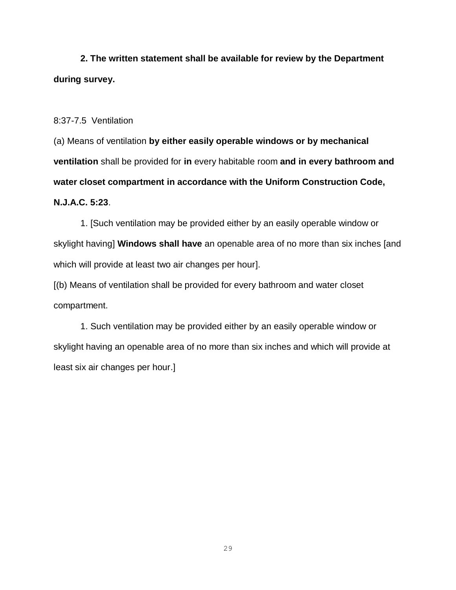**2. The written statement shall be available for review by the Department during survey.**

8:37-7.5 Ventilation

(a) Means of ventilation **by either easily operable windows or by mechanical ventilation** shall be provided for **in** every habitable room **and in every bathroom and water closet compartment in accordance with the Uniform Construction Code, N.J.A.C. 5:23**.

1. [Such ventilation may be provided either by an easily operable window or skylight having] **Windows shall have** an openable area of no more than six inches [and which will provide at least two air changes per hour].

[(b) Means of ventilation shall be provided for every bathroom and water closet compartment.

1. Such ventilation may be provided either by an easily operable window or skylight having an openable area of no more than six inches and which will provide at least six air changes per hour.]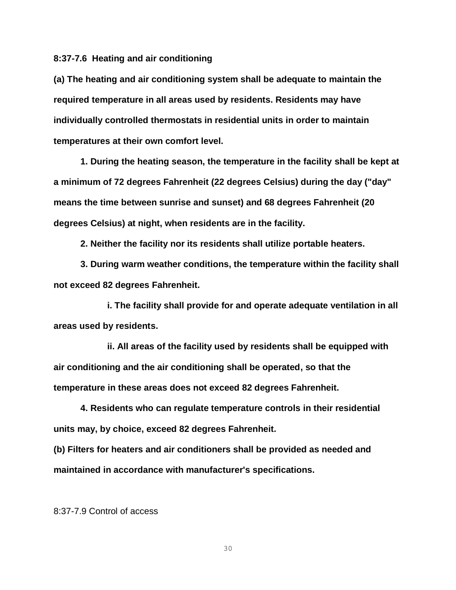**8:37-7.6 Heating and air conditioning**

**(a) The heating and air conditioning system shall be adequate to maintain the required temperature in all areas used by residents. Residents may have individually controlled thermostats in residential units in order to maintain temperatures at their own comfort level.**

**1. During the heating season, the temperature in the facility shall be kept at a minimum of 72 degrees Fahrenheit (22 degrees Celsius) during the day ("day" means the time between sunrise and sunset) and 68 degrees Fahrenheit (20 degrees Celsius) at night, when residents are in the facility.**

**2. Neither the facility nor its residents shall utilize portable heaters.**

**3. During warm weather conditions, the temperature within the facility shall not exceed 82 degrees Fahrenheit.**

**i. The facility shall provide for and operate adequate ventilation in all areas used by residents.**

**ii. All areas of the facility used by residents shall be equipped with air conditioning and the air conditioning shall be operated, so that the temperature in these areas does not exceed 82 degrees Fahrenheit.**

**4. Residents who can regulate temperature controls in their residential units may, by choice, exceed 82 degrees Fahrenheit.**

**(b) Filters for heaters and air conditioners shall be provided as needed and maintained in accordance with manufacturer's specifications.** 

8:37-7.9 Control of access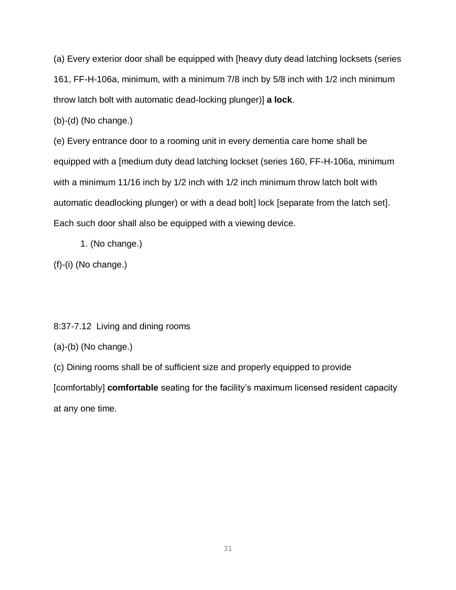(a) Every exterior door shall be equipped with [heavy duty dead latching locksets (series 161, FF-H-106a, minimum, with a minimum 7/8 inch by 5/8 inch with 1/2 inch minimum throw latch bolt with automatic dead-locking plunger)] **a lock**.

(b)-(d) (No change.)

(e) Every entrance door to a rooming unit in every dementia care home shall be equipped with a [medium duty dead latching lockset (series 160, FF-H-106a, minimum with a minimum 11/16 inch by 1/2 inch with 1/2 inch minimum throw latch bolt with automatic deadlocking plunger) or with a dead bolt] lock [separate from the latch set]. Each such door shall also be equipped with a viewing device.

1. (No change.)

(f)-(i) (No change.)

8:37-7.12 Living and dining rooms

(a)-(b) (No change.)

(c) Dining rooms shall be of sufficient size and properly equipped to provide [comfortably] **comfortable** seating for the facility's maximum licensed resident capacity at any one time.